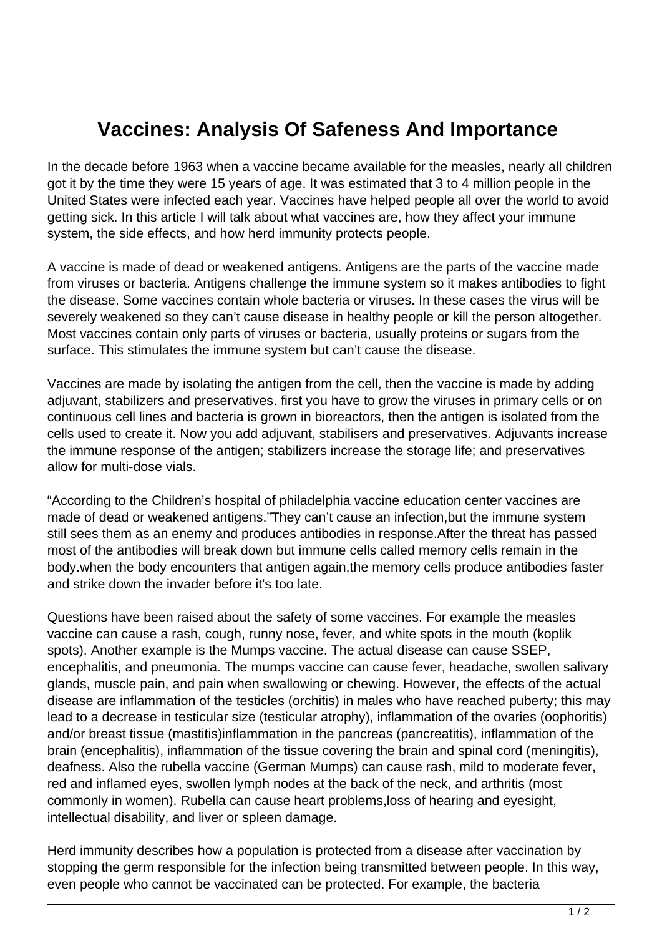## **Vaccines: Analysis Of Safeness And Importance**

In the decade before 1963 when a vaccine became available for the measles, nearly all children got it by the time they were 15 years of age. It was estimated that 3 to 4 million people in the United States were infected each year. Vaccines have helped people all over the world to avoid getting sick. In this article I will talk about what vaccines are, how they affect your immune system, the side effects, and how herd immunity protects people.

A vaccine is made of dead or weakened antigens. Antigens are the parts of the vaccine made from viruses or bacteria. Antigens challenge the immune system so it makes antibodies to fight the disease. Some vaccines contain whole bacteria or viruses. In these cases the virus will be severely weakened so they can't cause disease in healthy people or kill the person altogether. Most vaccines contain only parts of viruses or bacteria, usually proteins or sugars from the surface. This stimulates the immune system but can't cause the disease.

Vaccines are made by isolating the antigen from the cell, then the vaccine is made by adding adjuvant, stabilizers and preservatives. first you have to grow the viruses in primary cells or on continuous cell lines and bacteria is grown in bioreactors, then the antigen is isolated from the cells used to create it. Now you add adjuvant, stabilisers and preservatives. Adjuvants increase the immune response of the antigen; stabilizers increase the storage life; and preservatives allow for multi-dose vials.

"According to the Children's hospital of philadelphia vaccine education center vaccines are made of dead or weakened antigens."They can't cause an infection,but the immune system still sees them as an enemy and produces antibodies in response.After the threat has passed most of the antibodies will break down but immune cells called memory cells remain in the body.when the body encounters that antigen again,the memory cells produce antibodies faster and strike down the invader before it's too late.

Questions have been raised about the safety of some vaccines. For example the measles vaccine can cause a rash, cough, runny nose, fever, and white spots in the mouth (koplik spots). Another example is the Mumps vaccine. The actual disease can cause SSEP, encephalitis, and pneumonia. The mumps vaccine can cause fever, headache, swollen salivary glands, muscle pain, and pain when swallowing or chewing. However, the effects of the actual disease are inflammation of the testicles (orchitis) in males who have reached puberty; this may lead to a decrease in testicular size (testicular atrophy), inflammation of the ovaries (oophoritis) and/or breast tissue (mastitis)inflammation in the pancreas (pancreatitis), inflammation of the brain (encephalitis), inflammation of the tissue covering the brain and spinal cord (meningitis), deafness. Also the rubella vaccine (German Mumps) can cause rash, mild to moderate fever, red and inflamed eyes, swollen lymph nodes at the back of the neck, and arthritis (most commonly in women). Rubella can cause heart problems,loss of hearing and eyesight, intellectual disability, and liver or spleen damage.

Herd immunity describes how a population is protected from a disease after vaccination by stopping the germ responsible for the infection being transmitted between people. In this way, even people who cannot be vaccinated can be protected. For example, the bacteria